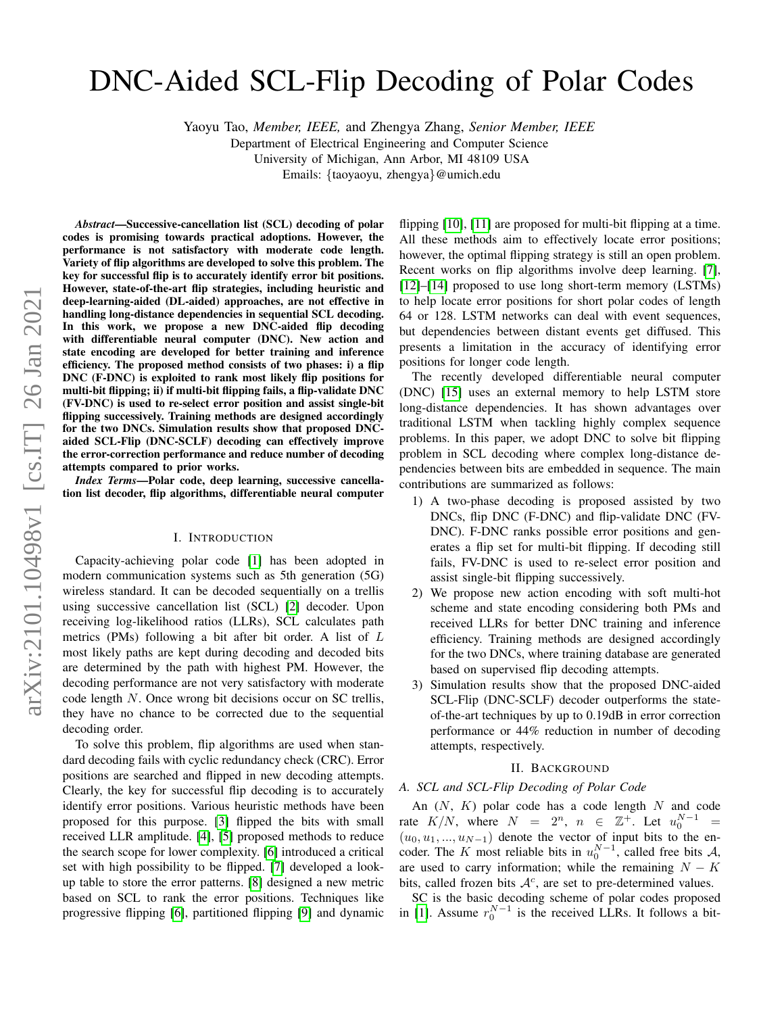# DNC-Aided SCL-Flip Decoding of Polar Codes

Yaoyu Tao, *Member, IEEE,* and Zhengya Zhang, *Senior Member, IEEE*

Department of Electrical Engineering and Computer Science University of Michigan, Ann Arbor, MI 48109 USA

Emails: {taoyaoyu, zhengya}@umich.edu

*Abstract*—Successive-cancellation list (SCL) decoding of polar codes is promising towards practical adoptions. However, the performance is not satisfactory with moderate code length. Variety of flip algorithms are developed to solve this problem. The key for successful flip is to accurately identify error bit positions. However, state-of-the-art flip strategies, including heuristic and deep-learning-aided (DL-aided) approaches, are not effective in handling long-distance dependencies in sequential SCL decoding. In this work, we propose a new DNC-aided flip decoding with differentiable neural computer (DNC). New action and state encoding are developed for better training and inference efficiency. The proposed method consists of two phases: i) a flip DNC (F-DNC) is exploited to rank most likely flip positions for multi-bit flipping; ii) if multi-bit flipping fails, a flip-validate DNC (FV-DNC) is used to re-select error position and assist single-bit flipping successively. Training methods are designed accordingly for the two DNCs. Simulation results show that proposed DNCaided SCL-Flip (DNC-SCLF) decoding can effectively improve the error-correction performance and reduce number of decoding attempts compared to prior works.

*Index Terms*—Polar code, deep learning, successive cancellation list decoder, flip algorithms, differentiable neural computer

# I. INTRODUCTION

Capacity-achieving polar code [\[1\]](#page-5-0) has been adopted in modern communication systems such as 5th generation (5G) wireless standard. It can be decoded sequentially on a trellis using successive cancellation list (SCL) [\[2\]](#page-5-1) decoder. Upon receiving log-likelihood ratios (LLRs), SCL calculates path metrics (PMs) following a bit after bit order. A list of L most likely paths are kept during decoding and decoded bits are determined by the path with highest PM. However, the decoding performance are not very satisfactory with moderate code length N. Once wrong bit decisions occur on SC trellis, they have no chance to be corrected due to the sequential decoding order.

To solve this problem, flip algorithms are used when standard decoding fails with cyclic redundancy check (CRC). Error positions are searched and flipped in new decoding attempts. Clearly, the key for successful flip decoding is to accurately identify error positions. Various heuristic methods have been proposed for this purpose. [\[3\]](#page-5-2) flipped the bits with small received LLR amplitude. [\[4\]](#page-5-3), [\[5\]](#page-5-4) proposed methods to reduce the search scope for lower complexity. [\[6\]](#page-5-5) introduced a critical set with high possibility to be flipped. [\[7\]](#page-5-6) developed a lookup table to store the error patterns. [\[8\]](#page-5-7) designed a new metric based on SCL to rank the error positions. Techniques like progressive flipping [\[6\]](#page-5-5), partitioned flipping [\[9\]](#page-5-8) and dynamic

flipping [\[10\]](#page-5-9), [\[11\]](#page-5-10) are proposed for multi-bit flipping at a time. All these methods aim to effectively locate error positions; however, the optimal flipping strategy is still an open problem. Recent works on flip algorithms involve deep learning. [\[7\]](#page-5-6), [\[12\]](#page-5-11)–[\[14\]](#page-5-12) proposed to use long short-term memory (LSTMs) to help locate error positions for short polar codes of length 64 or 128. LSTM networks can deal with event sequences, but dependencies between distant events get diffused. This presents a limitation in the accuracy of identifying error positions for longer code length.

The recently developed differentiable neural computer (DNC) [\[15\]](#page-5-13) uses an external memory to help LSTM store long-distance dependencies. It has shown advantages over traditional LSTM when tackling highly complex sequence problems. In this paper, we adopt DNC to solve bit flipping problem in SCL decoding where complex long-distance dependencies between bits are embedded in sequence. The main contributions are summarized as follows:

- 1) A two-phase decoding is proposed assisted by two DNCs, flip DNC (F-DNC) and flip-validate DNC (FV-DNC). F-DNC ranks possible error positions and generates a flip set for multi-bit flipping. If decoding still fails, FV-DNC is used to re-select error position and assist single-bit flipping successively.
- 2) We propose new action encoding with soft multi-hot scheme and state encoding considering both PMs and received LLRs for better DNC training and inference efficiency. Training methods are designed accordingly for the two DNCs, where training database are generated based on supervised flip decoding attempts.
- 3) Simulation results show that the proposed DNC-aided SCL-Flip (DNC-SCLF) decoder outperforms the stateof-the-art techniques by up to 0.19dB in error correction performance or 44% reduction in number of decoding attempts, respectively.

## II. BACKGROUND

## *A. SCL and SCL-Flip Decoding of Polar Code*

An  $(N, K)$  polar code has a code length  $N$  and code rate  $K/N$ , where  $N = 2^n$ ,  $n \in \mathbb{Z}^+$ . Let  $u_0^{N-1} =$  $(u_0, u_1, ..., u_{N-1})$  denote the vector of input bits to the encoder. The K most reliable bits in  $u_0^{N-1}$ , called free bits A, are used to carry information; while the remaining  $N - K$ bits, called frozen bits  $A<sup>c</sup>$ , are set to pre-determined values.

SC is the basic decoding scheme of polar codes proposed in [\[1\]](#page-5-0). Assume  $r_0^{N-1}$  is the received LLRs. It follows a bit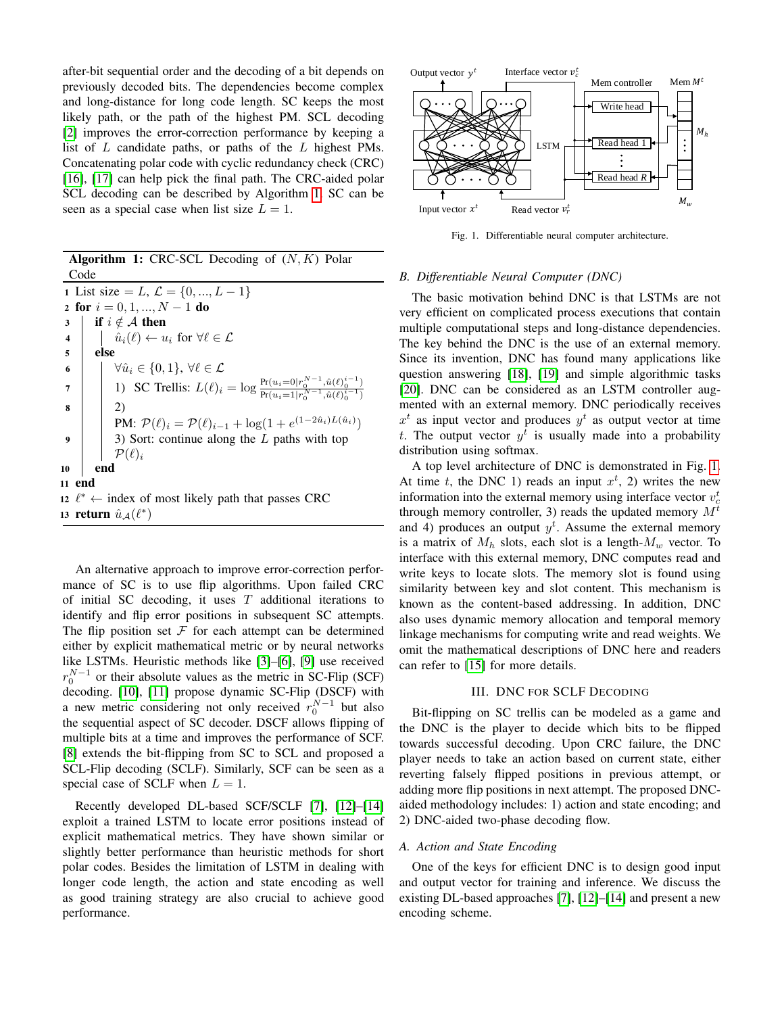after-bit sequential order and the decoding of a bit depends on previously decoded bits. The dependencies become complex and long-distance for long code length. SC keeps the most likely path, or the path of the highest PM. SCL decoding [\[2\]](#page-5-1) improves the error-correction performance by keeping a list of L candidate paths, or paths of the L highest PMs. Concatenating polar code with cyclic redundancy check (CRC) [\[16\]](#page-5-14), [\[17\]](#page-5-15) can help pick the final path. The CRC-aided polar SCL decoding can be described by Algorithm [1.](#page-1-0) SC can be seen as a special case when list size  $L = 1$ .

Algorithm 1: CRC-SCL Decoding of  $(N, K)$  Polar Code 1 List size = L,  $\mathcal{L} = \{0, ..., L - 1\}$ 2 for  $i = 0, 1, ..., N - 1$  do 3 if  $i \notin A$  then 4  $\left| \quad \right| \quad \hat{u}_i(\ell) \leftarrow u_i \text{ for } \forall \ell \in \mathcal{L}$  $5$  else 6  $\forall \hat{u}_i \in \{0,1\}, \forall \ell \in \mathcal{L}$ 7 1) SC Trellis:  $L(\ell)_i = \log \frac{\Pr(u_i=0|r_0^{N-1},\hat{u}(\ell)_0^{i-1})}{\Pr(u_i=1|r_0^{N-1},\hat{u}(\ell)_0^{i-1})}$  $Pr(u_i=1|r_0^{N-1}, \hat{u}(\ell)_0^{i-1})$  $8 \mid 2)$ PM:  $\mathcal{P}(\ell)_i = \mathcal{P}(\ell)_{i-1} + \log(1 + e^{(1-2\hat{u}_i)L(\hat{u}_i)})$ 9  $\vert$  3) Sort: continue along the L paths with top  $\mathcal{P}(\ell)_i$ 10 end 11 end 12  $\ell^* \leftarrow$  index of most likely path that passes CRC 13 return  $\hat{u}_{\mathcal{A}}(\ell^*)$ 

<span id="page-1-0"></span>An alternative approach to improve error-correction performance of SC is to use flip algorithms. Upon failed CRC of initial SC decoding, it uses  $T$  additional iterations to identify and flip error positions in subsequent SC attempts. The flip position set  $\mathcal F$  for each attempt can be determined either by explicit mathematical metric or by neural networks like LSTMs. Heuristic methods like [\[3\]](#page-5-2)–[\[6\]](#page-5-5), [\[9\]](#page-5-8) use received  $r_0^{N-1}$  or their absolute values as the metric in SC-Flip (SCF) decoding. [\[10\]](#page-5-9), [\[11\]](#page-5-10) propose dynamic SC-Flip (DSCF) with a new metric considering not only received  $r_0^{N-1}$  but also the sequential aspect of SC decoder. DSCF allows flipping of multiple bits at a time and improves the performance of SCF. [\[8\]](#page-5-7) extends the bit-flipping from SC to SCL and proposed a SCL-Flip decoding (SCLF). Similarly, SCF can be seen as a special case of SCLF when  $L = 1$ .

Recently developed DL-based SCF/SCLF [\[7\]](#page-5-6), [\[12\]](#page-5-11)–[\[14\]](#page-5-12) exploit a trained LSTM to locate error positions instead of explicit mathematical metrics. They have shown similar or slightly better performance than heuristic methods for short polar codes. Besides the limitation of LSTM in dealing with longer code length, the action and state encoding as well as good training strategy are also crucial to achieve good performance.



<span id="page-1-1"></span>Fig. 1. Differentiable neural computer architecture.

# *B. Differentiable Neural Computer (DNC)*

The basic motivation behind DNC is that LSTMs are not very efficient on complicated process executions that contain multiple computational steps and long-distance dependencies. The key behind the DNC is the use of an external memory. Since its invention, DNC has found many applications like question answering [\[18\]](#page-6-0), [\[19\]](#page-6-1) and simple algorithmic tasks [\[20\]](#page-6-2). DNC can be considered as an LSTM controller augmented with an external memory. DNC periodically receives  $x<sup>t</sup>$  as input vector and produces  $y<sup>t</sup>$  as output vector at time t. The output vector  $y^t$  is usually made into a probability distribution using softmax.

A top level architecture of DNC is demonstrated in Fig. [1.](#page-1-1) At time t, the DNC 1) reads an input  $x^t$ , 2) writes the new information into the external memory using interface vector  $v_c^t$ through memory controller, 3) reads the updated memory  $M<sup>t</sup>$ and 4) produces an output  $y<sup>t</sup>$ . Assume the external memory is a matrix of  $M_h$  slots, each slot is a length- $M_w$  vector. To interface with this external memory, DNC computes read and write keys to locate slots. The memory slot is found using similarity between key and slot content. This mechanism is known as the content-based addressing. In addition, DNC also uses dynamic memory allocation and temporal memory linkage mechanisms for computing write and read weights. We omit the mathematical descriptions of DNC here and readers can refer to [\[15\]](#page-5-13) for more details.

#### III. DNC FOR SCLF DECODING

Bit-flipping on SC trellis can be modeled as a game and the DNC is the player to decide which bits to be flipped towards successful decoding. Upon CRC failure, the DNC player needs to take an action based on current state, either reverting falsely flipped positions in previous attempt, or adding more flip positions in next attempt. The proposed DNCaided methodology includes: 1) action and state encoding; and 2) DNC-aided two-phase decoding flow.

#### *A. Action and State Encoding*

One of the keys for efficient DNC is to design good input and output vector for training and inference. We discuss the existing DL-based approaches [\[7\]](#page-5-6), [\[12\]](#page-5-11)–[\[14\]](#page-5-12) and present a new encoding scheme.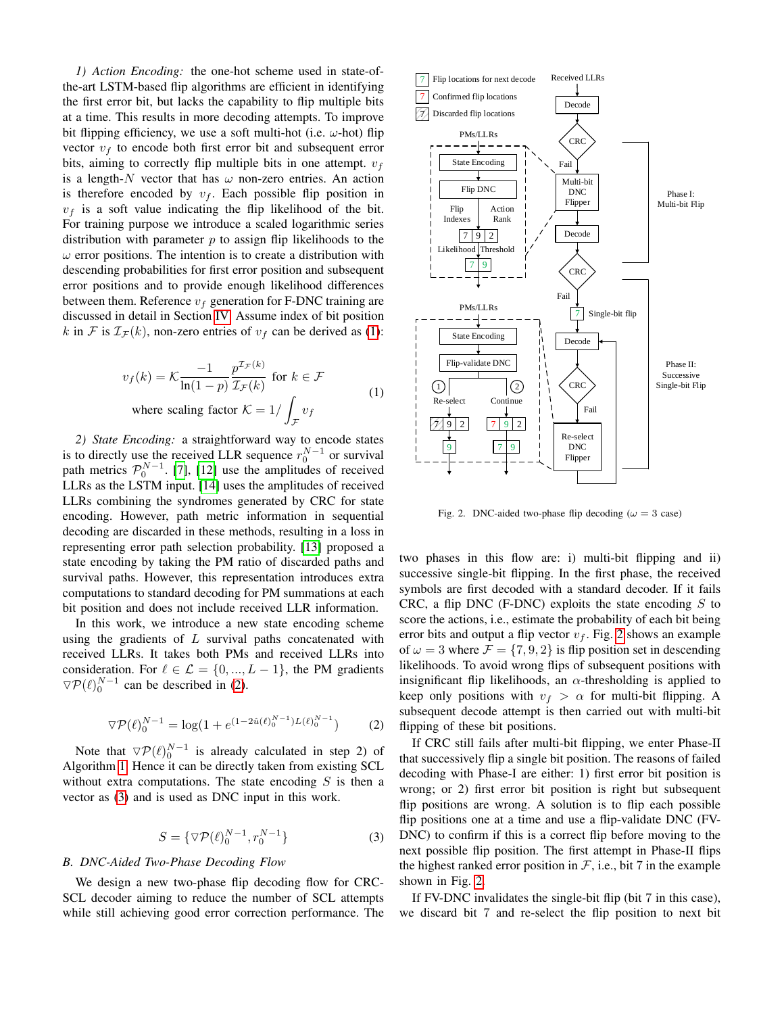*1) Action Encoding:* the one-hot scheme used in state-ofthe-art LSTM-based flip algorithms are efficient in identifying the first error bit, but lacks the capability to flip multiple bits at a time. This results in more decoding attempts. To improve bit flipping efficiency, we use a soft multi-hot (i.e.  $\omega$ -hot) flip vector  $v_f$  to encode both first error bit and subsequent error bits, aiming to correctly flip multiple bits in one attempt.  $v_f$ is a length-N vector that has  $\omega$  non-zero entries. An action is therefore encoded by  $v_f$ . Each possible flip position in  $v_f$  is a soft value indicating the flip likelihood of the bit. For training purpose we introduce a scaled logarithmic series distribution with parameter  $p$  to assign flip likelihoods to the  $\omega$  error positions. The intention is to create a distribution with descending probabilities for first error position and subsequent error positions and to provide enough likelihood differences between them. Reference  $v_f$  generation for F-DNC training are discussed in detail in Section [IV.](#page-3-0) Assume index of bit position k in F is  $\mathcal{I}_{\mathcal{F}}(k)$ , non-zero entries of  $v_f$  can be derived as [\(1\)](#page-2-0):

$$
v_f(k) = \mathcal{K} \frac{-1}{\ln(1-p)} \frac{p^{\mathcal{I}_{\mathcal{F}}(k)}}{\mathcal{I}_{\mathcal{F}}(k)} \text{ for } k \in \mathcal{F}
$$
  
where scaling factor  $\mathcal{K} = 1 / \int_{\mathcal{F}} v_f$  (1)

*2) State Encoding:* a straightforward way to encode states is to directly use the received LLR sequence  $r_0^{N-1}$  or survival path metrics  $\mathcal{P}_0^{N-1}$ . [\[7\]](#page-5-6), [\[12\]](#page-5-11) use the amplitudes of received LLRs as the LSTM input. [\[14\]](#page-5-12) uses the amplitudes of received LLRs combining the syndromes generated by CRC for state encoding. However, path metric information in sequential decoding are discarded in these methods, resulting in a loss in representing error path selection probability. [\[13\]](#page-5-16) proposed a state encoding by taking the PM ratio of discarded paths and survival paths. However, this representation introduces extra computations to standard decoding for PM summations at each bit position and does not include received LLR information.

In this work, we introduce a new state encoding scheme using the gradients of  $L$  survival paths concatenated with received LLRs. It takes both PMs and received LLRs into consideration. For  $\ell \in \mathcal{L} = \{0, ..., L - 1\}$ , the PM gradients  $\nabla \mathcal{P}(\ell)_{0}^{N-1}$  can be described in [\(2\)](#page-2-1).

$$
\nabla \mathcal{P}(\ell)_0^{N-1} = \log(1 + e^{(1 - 2\hat{u}(\ell)_0^{N-1})L(\ell)_0^{N-1}})
$$
 (2)

Note that  $\nabla \mathcal{P}(\ell)_{0}^{N-1}$  is already calculated in step 2) of Algorithm [1.](#page-1-0) Hence it can be directly taken from existing SCL without extra computations. The state encoding  $S$  is then a vector as [\(3\)](#page-2-2) and is used as DNC input in this work.

$$
S = \{ \nabla \mathcal{P}(\ell)_{0}^{N-1}, r_{0}^{N-1} \}
$$
 (3)

# *B. DNC-Aided Two-Phase Decoding Flow*

We design a new two-phase flip decoding flow for CRC-SCL decoder aiming to reduce the number of SCL attempts while still achieving good error correction performance. The



<span id="page-2-3"></span><span id="page-2-0"></span>Fig. 2. DNC-aided two-phase flip decoding ( $\omega = 3$  case)

two phases in this flow are: i) multi-bit flipping and ii) successive single-bit flipping. In the first phase, the received symbols are first decoded with a standard decoder. If it fails CRC, a flip DNC (F-DNC) exploits the state encoding  $S$  to score the actions, i.e., estimate the probability of each bit being error bits and output a flip vector  $v_f$ . Fig. [2](#page-2-3) shows an example of  $\omega = 3$  where  $\mathcal{F} = \{7, 9, 2\}$  is flip position set in descending likelihoods. To avoid wrong flips of subsequent positions with insignificant flip likelihoods, an  $\alpha$ -thresholding is applied to keep only positions with  $v_f > \alpha$  for multi-bit flipping. A subsequent decode attempt is then carried out with multi-bit flipping of these bit positions.

<span id="page-2-1"></span>If CRC still fails after multi-bit flipping, we enter Phase-II that successively flip a single bit position. The reasons of failed decoding with Phase-I are either: 1) first error bit position is wrong; or 2) first error bit position is right but subsequent flip positions are wrong. A solution is to flip each possible flip positions one at a time and use a flip-validate DNC (FV-DNC) to confirm if this is a correct flip before moving to the next possible flip position. The first attempt in Phase-II flips the highest ranked error position in  $F$ , i.e., bit 7 in the example shown in Fig. [2.](#page-2-3)

<span id="page-2-2"></span>If FV-DNC invalidates the single-bit flip (bit 7 in this case), we discard bit 7 and re-select the flip position to next bit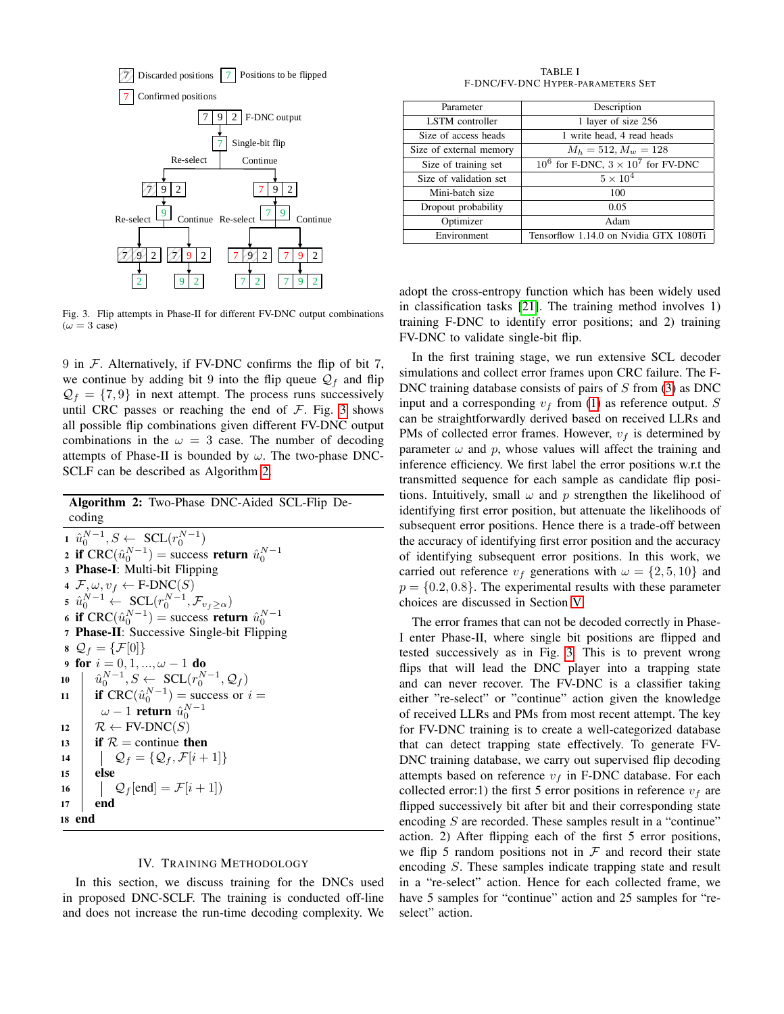

<span id="page-3-1"></span>Fig. 3. Flip attempts in Phase-II for different FV-DNC output combinations  $(\omega = 3 \text{ case})$ 

9 in  $\mathcal F$ . Alternatively, if FV-DNC confirms the flip of bit 7, we continue by adding bit 9 into the flip queue  $\mathcal{Q}_f$  and flip  $\mathcal{Q}_f = \{7, 9\}$  in next attempt. The process runs successively until CRC passes or reaching the end of  $\mathcal F$ . Fig. [3](#page-3-1) shows all possible flip combinations given different FV-DNC output combinations in the  $\omega = 3$  case. The number of decoding attempts of Phase-II is bounded by  $\omega$ . The two-phase DNC-SCLF can be described as Algorithm [2.](#page-3-2)

Algorithm 2: Two-Phase DNC-Aided SCL-Flip Decoding 1  $\hat{u}_0^{N-1}, S \leftarrow \text{SCL}(r_0^{N-1})$ 

2 if  $CRC(\hat{u}_0^{N-1})$  = success return  $\hat{u}_0^{N-1}$ <sup>3</sup> Phase-I: Multi-bit Flipping 4  $\mathcal{F}, \omega, v_f \leftarrow \text{F-DNC}(S)$ 5  $\hat{u}_0^{N-1} \leftarrow \text{SCL}(r_0^{N-1}, \mathcal{F}_{v_f \ge \alpha})$ 6 if  $CRC(\hat{u}_0^{N-1})$  = success return  $\hat{u}_0^{N-1}$ <sup>7</sup> Phase-II: Successive Single-bit Flipping  $\Omega_f = \{ \mathcal{F}[0] \}$ 9 for  $i = 0, 1, ..., \omega - 1$  do 10  $\hat{u}_0^{N-1}, S \leftarrow \text{SCL}(r_0^{N-1}, \mathcal{Q}_f)$ 11 **if** CRC( $\hat{u}_0^{N-1}$ ) = success or  $i =$  $\omega-1$  return  $\hat{u}_{0}^{N-1}$  $12 \mid \mathcal{R} \leftarrow FV\text{-}DNC(S)$ 13 **if**  $\mathcal{R}$  = continue **then** 14  $\bigcup \mathcal{Q}_f = \{ \mathcal{Q}_f, \mathcal{F}[i+1] \}$ <sup>15</sup> else 16  $\left| Q_f[\text{end}] = \mathcal{F}[i+1] \right)$  $17$  end <sup>18</sup> end

## IV. TRAINING METHODOLOGY

<span id="page-3-2"></span><span id="page-3-0"></span>In this section, we discuss training for the DNCs used in proposed DNC-SCLF. The training is conducted off-line and does not increase the run-time decoding complexity. We

TABLE I F-DNC/FV-DNC HYPER-PARAMETERS SET

<span id="page-3-3"></span>

| Parameter               | Description                                  |
|-------------------------|----------------------------------------------|
| LSTM controller         | 1 layer of size 256                          |
| Size of access heads    | 1 write head, 4 read heads                   |
| Size of external memory | $M_h = 512, M_w = 128$                       |
| Size of training set    | $10^6$ for F-DNC, $3 \times 10^7$ for FV-DNC |
| Size of validation set  | $5 \times 10^4$                              |
| Mini-batch size         | 100                                          |
| Dropout probability     | 0.05                                         |
| Optimizer               | Adam                                         |
| Environment             | Tensorflow 1.14.0 on Nvidia GTX 1080Ti       |

adopt the cross-entropy function which has been widely used in classification tasks [\[21\]](#page-6-3). The training method involves 1) training F-DNC to identify error positions; and 2) training FV-DNC to validate single-bit flip.

In the first training stage, we run extensive SCL decoder simulations and collect error frames upon CRC failure. The F-DNC training database consists of pairs of  $S$  from [\(3\)](#page-2-2) as DNC input and a corresponding  $v_f$  from [\(1\)](#page-2-0) as reference output. S can be straightforwardly derived based on received LLRs and PMs of collected error frames. However,  $v_f$  is determined by parameter  $\omega$  and p, whose values will affect the training and inference efficiency. We first label the error positions w.r.t the transmitted sequence for each sample as candidate flip positions. Intuitively, small  $\omega$  and p strengthen the likelihood of identifying first error position, but attenuate the likelihoods of subsequent error positions. Hence there is a trade-off between the accuracy of identifying first error position and the accuracy of identifying subsequent error positions. In this work, we carried out reference  $v_f$  generations with  $\omega = \{2, 5, 10\}$  and  $p = \{0.2, 0.8\}$ . The experimental results with these parameter choices are discussed in Section [V.](#page-4-0)

The error frames that can not be decoded correctly in Phase-I enter Phase-II, where single bit positions are flipped and tested successively as in Fig. [3.](#page-3-1) This is to prevent wrong flips that will lead the DNC player into a trapping state and can never recover. The FV-DNC is a classifier taking either "re-select" or "continue" action given the knowledge of received LLRs and PMs from most recent attempt. The key for FV-DNC training is to create a well-categorized database that can detect trapping state effectively. To generate FV-DNC training database, we carry out supervised flip decoding attempts based on reference  $v_f$  in F-DNC database. For each collected error:1) the first 5 error positions in reference  $v_f$  are flipped successively bit after bit and their corresponding state encoding S are recorded. These samples result in a "continue" action. 2) After flipping each of the first 5 error positions, we flip 5 random positions not in  $\mathcal F$  and record their state encoding S. These samples indicate trapping state and result in a "re-select" action. Hence for each collected frame, we have 5 samples for "continue" action and 25 samples for "reselect" action.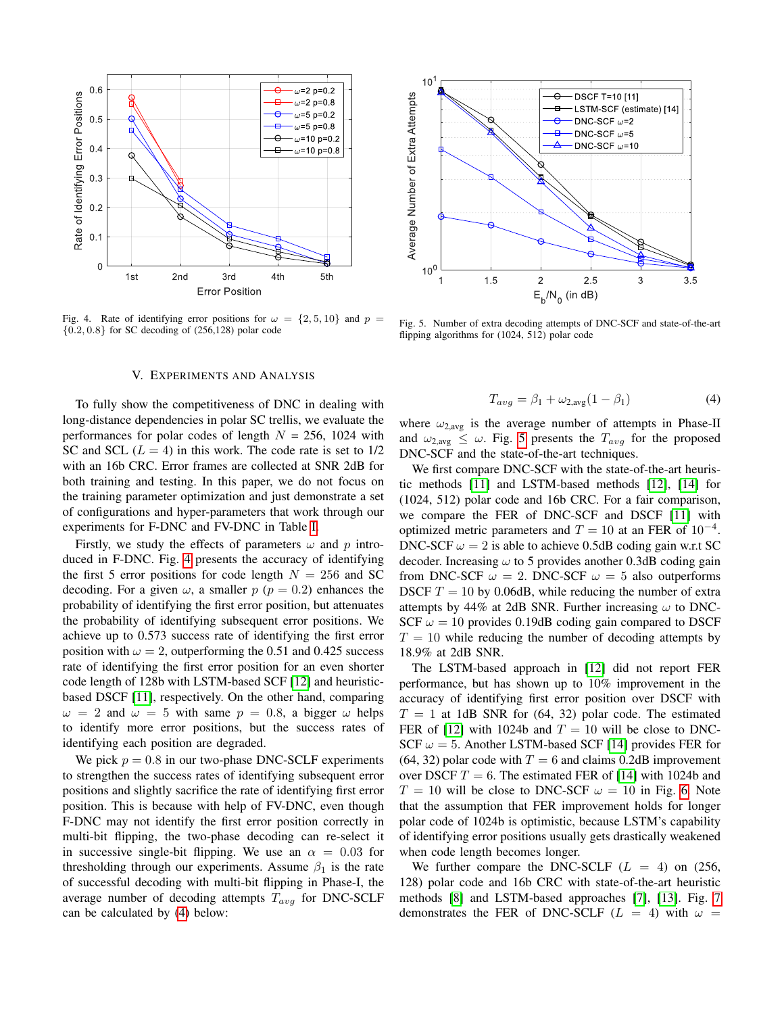

<span id="page-4-1"></span>Fig. 4. Rate of identifying error positions for  $\omega = \{2, 5, 10\}$  and  $p =$  ${0.2, 0.8}$  for SC decoding of  $(256, 128)$  polar code

### V. EXPERIMENTS AND ANALYSIS

<span id="page-4-0"></span>To fully show the competitiveness of DNC in dealing with long-distance dependencies in polar SC trellis, we evaluate the performances for polar codes of length  $N = 256$ , 1024 with SC and SCL  $(L = 4)$  in this work. The code rate is set to  $1/2$ with an 16b CRC. Error frames are collected at SNR 2dB for both training and testing. In this paper, we do not focus on the training parameter optimization and just demonstrate a set of configurations and hyper-parameters that work through our experiments for F-DNC and FV-DNC in Table [I.](#page-3-3)

Firstly, we study the effects of parameters  $\omega$  and p introduced in F-DNC. Fig. [4](#page-4-1) presents the accuracy of identifying the first 5 error positions for code length  $N = 256$  and SC decoding. For a given  $\omega$ , a smaller  $p$  ( $p = 0.2$ ) enhances the probability of identifying the first error position, but attenuates the probability of identifying subsequent error positions. We achieve up to 0.573 success rate of identifying the first error position with  $\omega = 2$ , outperforming the 0.51 and 0.425 success rate of identifying the first error position for an even shorter code length of 128b with LSTM-based SCF [\[12\]](#page-5-11) and heuristicbased DSCF [\[11\]](#page-5-10), respectively. On the other hand, comparing  $\omega = 2$  and  $\omega = 5$  with same  $p = 0.8$ , a bigger  $\omega$  helps to identify more error positions, but the success rates of identifying each position are degraded.

We pick  $p = 0.8$  in our two-phase DNC-SCLF experiments to strengthen the success rates of identifying subsequent error positions and slightly sacrifice the rate of identifying first error position. This is because with help of FV-DNC, even though F-DNC may not identify the first error position correctly in multi-bit flipping, the two-phase decoding can re-select it in successive single-bit flipping. We use an  $\alpha = 0.03$  for thresholding through our experiments. Assume  $\beta_1$  is the rate of successful decoding with multi-bit flipping in Phase-I, the average number of decoding attempts  $T_{avg}$  for DNC-SCLF can be calculated by [\(4\)](#page-4-2) below:



<span id="page-4-3"></span>Fig. 5. Number of extra decoding attempts of DNC-SCF and state-of-the-art flipping algorithms for (1024, 512) polar code

<span id="page-4-2"></span>
$$
T_{avg} = \beta_1 + \omega_{2,avg}(1 - \beta_1) \tag{4}
$$

where  $\omega_{2,avg}$  is the average number of attempts in Phase-II and  $\omega_{2,avg} \leq \omega$ . Fig. [5](#page-4-3) presents the  $T_{avg}$  for the proposed DNC-SCF and the state-of-the-art techniques.

We first compare DNC-SCF with the state-of-the-art heuristic methods [\[11\]](#page-5-10) and LSTM-based methods [\[12\]](#page-5-11), [\[14\]](#page-5-12) for (1024, 512) polar code and 16b CRC. For a fair comparison, we compare the FER of DNC-SCF and DSCF [\[11\]](#page-5-10) with optimized metric parameters and  $T = 10$  at an FER of  $10^{-4}$ . DNC-SCF  $\omega = 2$  is able to achieve 0.5dB coding gain w.r.t SC decoder. Increasing  $\omega$  to 5 provides another 0.3dB coding gain from DNC-SCF  $\omega = 2$ . DNC-SCF  $\omega = 5$  also outperforms DSCF  $T = 10$  by 0.06dB, while reducing the number of extra attempts by 44% at 2dB SNR. Further increasing  $\omega$  to DNC-SCF  $\omega = 10$  provides 0.19dB coding gain compared to DSCF  $T = 10$  while reducing the number of decoding attempts by 18.9% at 2dB SNR.

The LSTM-based approach in [\[12\]](#page-5-11) did not report FER performance, but has shown up to 10% improvement in the accuracy of identifying first error position over DSCF with  $T = 1$  at 1dB SNR for (64, 32) polar code. The estimated FER of [\[12\]](#page-5-11) with 1024b and  $T = 10$  will be close to DNC-SCF  $\omega = 5$ . Another LSTM-based SCF [\[14\]](#page-5-12) provides FER for  $(64, 32)$  polar code with  $T = 6$  and claims 0.2dB improvement over DSCF  $T = 6$ . The estimated FER of [\[14\]](#page-5-12) with 1024b and  $T = 10$  will be close to DNC-SCF  $\omega = 10$  in Fig. [6.](#page-5-17) Note that the assumption that FER improvement holds for longer polar code of 1024b is optimistic, because LSTM's capability of identifying error positions usually gets drastically weakened when code length becomes longer.

We further compare the DNC-SCLF  $(L = 4)$  on (256, 128) polar code and 16b CRC with state-of-the-art heuristic methods [\[8\]](#page-5-7) and LSTM-based approaches [\[7\]](#page-5-6), [\[13\]](#page-5-16). Fig. [7](#page-5-18) demonstrates the FER of DNC-SCLF ( $L = 4$ ) with  $\omega =$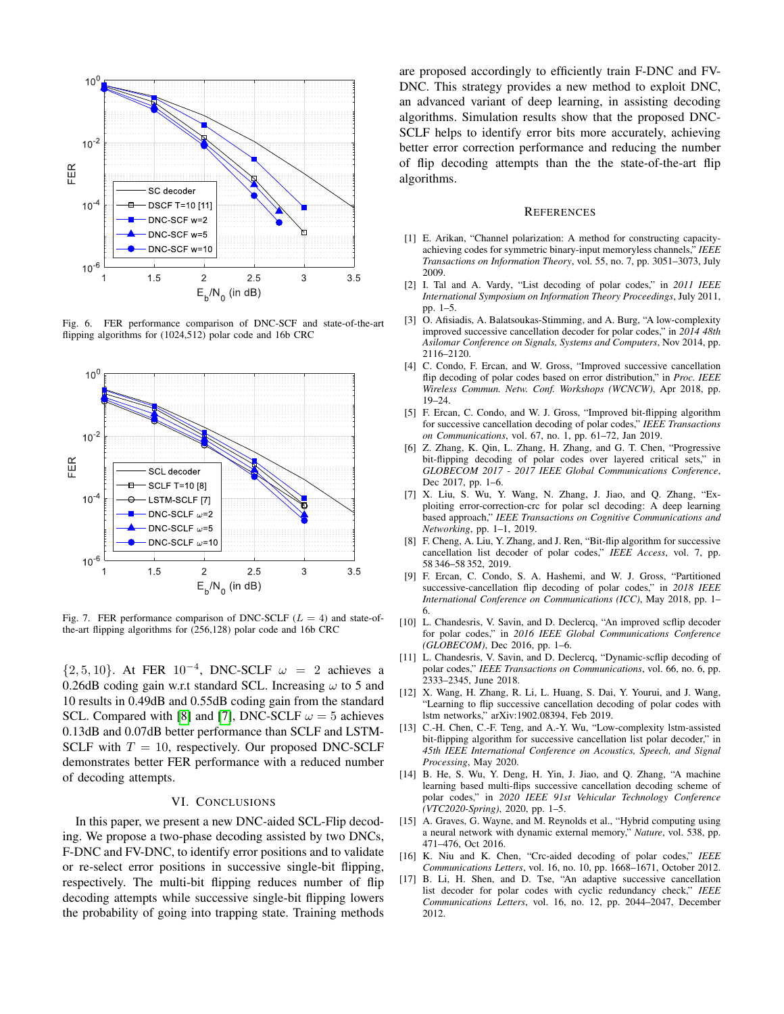

<span id="page-5-17"></span>Fig. 6. FER performance comparison of DNC-SCF and state-of-the-art flipping algorithms for (1024,512) polar code and 16b CRC



<span id="page-5-18"></span>Fig. 7. FER performance comparison of DNC-SCLF ( $L = 4$ ) and state-ofthe-art flipping algorithms for (256,128) polar code and 16b CRC

 $\{2, 5, 10\}$ . At FER  $10^{-4}$ , DNC-SCLF  $\omega = 2$  achieves a 0.26dB coding gain w.r.t standard SCL. Increasing  $\omega$  to 5 and 10 results in 0.49dB and 0.55dB coding gain from the standard SCL. Compared with [\[8\]](#page-5-7) and [\[7\]](#page-5-6), DNC-SCLF  $\omega = 5$  achieves 0.13dB and 0.07dB better performance than SCLF and LSTM-SCLF with  $T = 10$ , respectively. Our proposed DNC-SCLF demonstrates better FER performance with a reduced number of decoding attempts.

# VI. CONCLUSIONS

In this paper, we present a new DNC-aided SCL-Flip decoding. We propose a two-phase decoding assisted by two DNCs, F-DNC and FV-DNC, to identify error positions and to validate or re-select error positions in successive single-bit flipping, respectively. The multi-bit flipping reduces number of flip decoding attempts while successive single-bit flipping lowers the probability of going into trapping state. Training methods

are proposed accordingly to efficiently train F-DNC and FV-DNC. This strategy provides a new method to exploit DNC, an advanced variant of deep learning, in assisting decoding algorithms. Simulation results show that the proposed DNC-SCLF helps to identify error bits more accurately, achieving better error correction performance and reducing the number of flip decoding attempts than the the state-of-the-art flip algorithms.

#### **REFERENCES**

- <span id="page-5-0"></span>[1] E. Arikan, "Channel polarization: A method for constructing capacityachieving codes for symmetric binary-input memoryless channels," *IEEE Transactions on Information Theory*, vol. 55, no. 7, pp. 3051–3073, July 2009.
- <span id="page-5-1"></span>[2] I. Tal and A. Vardy, "List decoding of polar codes," in *2011 IEEE International Symposium on Information Theory Proceedings*, July 2011, pp. 1–5.
- <span id="page-5-2"></span>[3] O. Afisiadis, A. Balatsoukas-Stimming, and A. Burg, "A low-complexity improved successive cancellation decoder for polar codes," in *2014 48th Asilomar Conference on Signals, Systems and Computers*, Nov 2014, pp. 2116–2120.
- <span id="page-5-3"></span>[4] C. Condo, F. Ercan, and W. Gross, "Improved successive cancellation flip decoding of polar codes based on error distribution," in *Proc. IEEE Wireless Commun. Netw. Conf. Workshops (WCNCW)*, Apr 2018, pp. 19–24.
- <span id="page-5-4"></span>[5] F. Ercan, C. Condo, and W. J. Gross, "Improved bit-flipping algorithm for successive cancellation decoding of polar codes," *IEEE Transactions on Communications*, vol. 67, no. 1, pp. 61–72, Jan 2019.
- <span id="page-5-5"></span>[6] Z. Zhang, K. Qin, L. Zhang, H. Zhang, and G. T. Chen, "Progressive bit-flipping decoding of polar codes over layered critical sets," in *GLOBECOM 2017 - 2017 IEEE Global Communications Conference*, Dec 2017, pp. 1–6.
- <span id="page-5-6"></span>[7] X. Liu, S. Wu, Y. Wang, N. Zhang, J. Jiao, and Q. Zhang, "Exploiting error-correction-crc for polar scl decoding: A deep learning based approach," *IEEE Transactions on Cognitive Communications and Networking*, pp. 1–1, 2019.
- <span id="page-5-7"></span>[8] F. Cheng, A. Liu, Y. Zhang, and J. Ren, "Bit-flip algorithm for successive cancellation list decoder of polar codes," *IEEE Access*, vol. 7, pp. 58 346–58 352, 2019.
- <span id="page-5-8"></span>[9] F. Ercan, C. Condo, S. A. Hashemi, and W. J. Gross, "Partitioned successive-cancellation flip decoding of polar codes," in *2018 IEEE International Conference on Communications (ICC)*, May 2018, pp. 1– 6.
- <span id="page-5-9"></span>[10] L. Chandesris, V. Savin, and D. Declercq, "An improved scflip decoder for polar codes," in *2016 IEEE Global Communications Conference (GLOBECOM)*, Dec 2016, pp. 1–6.
- <span id="page-5-10"></span>[11] L. Chandesris, V. Savin, and D. Declercq, "Dynamic-scflip decoding of polar codes," *IEEE Transactions on Communications*, vol. 66, no. 6, pp. 2333–2345, June 2018.
- <span id="page-5-11"></span>[12] X. Wang, H. Zhang, R. Li, L. Huang, S. Dai, Y. Yourui, and J. Wang, "Learning to flip successive cancellation decoding of polar codes with lstm networks," arXiv:1902.08394, Feb 2019.
- <span id="page-5-16"></span>[13] C.-H. Chen, C.-F. Teng, and A.-Y. Wu, "Low-complexity lstm-assisted bit-flipping algorithm for successive cancellation list polar decoder," in *45th IEEE International Conference on Acoustics, Speech, and Signal Processing*, May 2020.
- <span id="page-5-12"></span>[14] B. He, S. Wu, Y. Deng, H. Yin, J. Jiao, and Q. Zhang, "A machine learning based multi-flips successive cancellation decoding scheme of polar codes," in *2020 IEEE 91st Vehicular Technology Conference (VTC2020-Spring)*, 2020, pp. 1–5.
- <span id="page-5-13"></span>[15] A. Graves, G. Wayne, and M. Reynolds et al., "Hybrid computing using a neural network with dynamic external memory," *Nature*, vol. 538, pp. 471–476, Oct 2016.
- <span id="page-5-14"></span>[16] K. Niu and K. Chen, "Crc-aided decoding of polar codes," *IEEE Communications Letters*, vol. 16, no. 10, pp. 1668–1671, October 2012.
- <span id="page-5-15"></span>[17] B. Li, H. Shen, and D. Tse, "An adaptive successive cancellation list decoder for polar codes with cyclic redundancy check," *IEEE Communications Letters*, vol. 16, no. 12, pp. 2044–2047, December 2012.